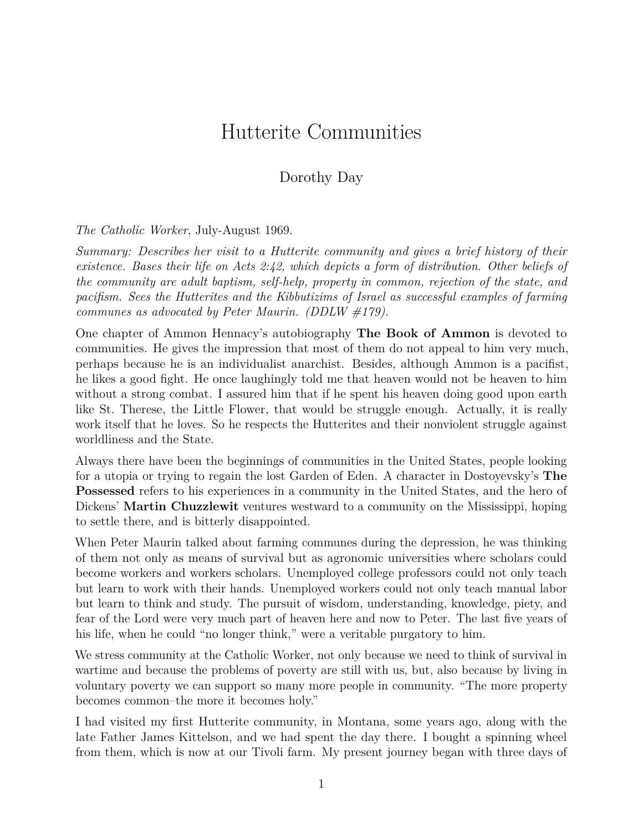# Hutterite Communities

#### Dorothy Day

*The Catholic Worker*, July-August 1969.

*Summary: Describes her visit to a Hutterite community and gives a brief history of their existence. Bases their life on Acts 2:42, which depicts a form of distribution. Other beliefs of the community are adult baptism, self-help, property in common, rejection of the state, and pacifism. Sees the Hutterites and the Kibbutizims of Israel as successful examples of farming communes as advocated by Peter Maurin. (DDLW #179).*

One chapter of Ammon Hennacy's autobiography **The Book of Ammon** is devoted to communities. He gives the impression that most of them do not appeal to him very much, perhaps because he is an individualist anarchist. Besides, although Ammon is a pacifist, he likes a good fight. He once laughingly told me that heaven would not be heaven to him without a strong combat. I assured him that if he spent his heaven doing good upon earth like St. Therese, the Little Flower, that would be struggle enough. Actually, it is really work itself that he loves. So he respects the Hutterites and their nonviolent struggle against worldliness and the State.

Always there have been the beginnings of communities in the United States, people looking for a utopia or trying to regain the lost Garden of Eden. A character in Dostoyevsky's **The Possessed** refers to his experiences in a community in the United States, and the hero of Dickens' **Martin Chuzzlewit** ventures westward to a community on the Mississippi, hoping to settle there, and is bitterly disappointed.

When Peter Maurin talked about farming communes during the depression, he was thinking of them not only as means of survival but as agronomic universities where scholars could become workers and workers scholars. Unemployed college professors could not only teach but learn to work with their hands. Unemployed workers could not only teach manual labor but learn to think and study. The pursuit of wisdom, understanding, knowledge, piety, and fear of the Lord were very much part of heaven here and now to Peter. The last five years of his life, when he could "no longer think," were a veritable purgatory to him.

We stress community at the Catholic Worker, not only because we need to think of survival in wartime and because the problems of poverty are still with us, but, also because by living in voluntary poverty we can support so many more people in community. "The more property becomes common–the more it becomes holy."

I had visited my first Hutterite community, in Montana, some years ago, along with the late Father James Kittelson, and we had spent the day there. I bought a spinning wheel from them, which is now at our Tivoli farm. My present journey began with three days of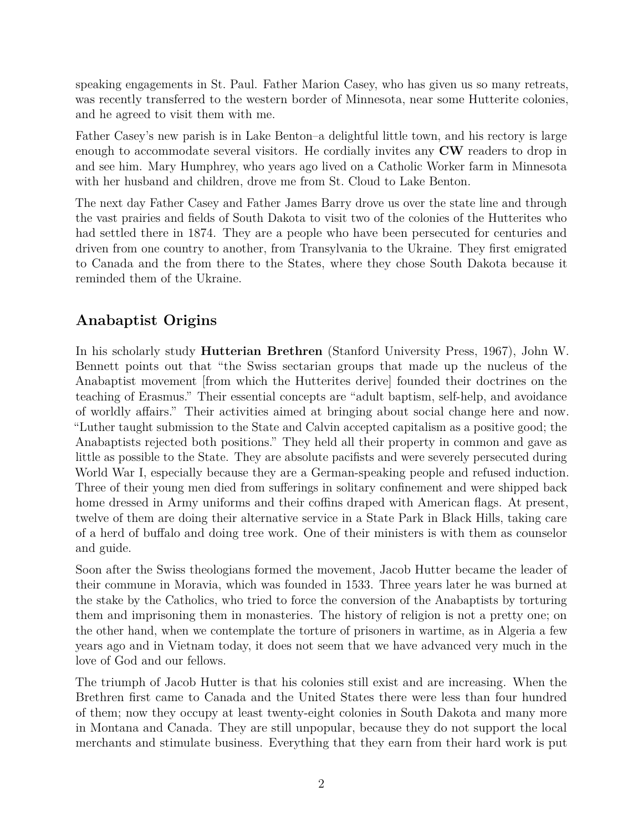speaking engagements in St. Paul. Father Marion Casey, who has given us so many retreats, was recently transferred to the western border of Minnesota, near some Hutterite colonies, and he agreed to visit them with me.

Father Casey's new parish is in Lake Benton–a delightful little town, and his rectory is large enough to accommodate several visitors. He cordially invites any **CW** readers to drop in and see him. Mary Humphrey, who years ago lived on a Catholic Worker farm in Minnesota with her husband and children, drove me from St. Cloud to Lake Benton.

The next day Father Casey and Father James Barry drove us over the state line and through the vast prairies and fields of South Dakota to visit two of the colonies of the Hutterites who had settled there in 1874. They are a people who have been persecuted for centuries and driven from one country to another, from Transylvania to the Ukraine. They first emigrated to Canada and the from there to the States, where they chose South Dakota because it reminded them of the Ukraine.

## **Anabaptist Origins**

In his scholarly study **Hutterian Brethren** (Stanford University Press, 1967), John W. Bennett points out that "the Swiss sectarian groups that made up the nucleus of the Anabaptist movement [from which the Hutterites derive] founded their doctrines on the teaching of Erasmus." Their essential concepts are "adult baptism, self-help, and avoidance of worldly affairs." Their activities aimed at bringing about social change here and now. "Luther taught submission to the State and Calvin accepted capitalism as a positive good; the Anabaptists rejected both positions." They held all their property in common and gave as little as possible to the State. They are absolute pacifists and were severely persecuted during World War I, especially because they are a German-speaking people and refused induction. Three of their young men died from sufferings in solitary confinement and were shipped back home dressed in Army uniforms and their coffins draped with American flags. At present, twelve of them are doing their alternative service in a State Park in Black Hills, taking care of a herd of buffalo and doing tree work. One of their ministers is with them as counselor and guide.

Soon after the Swiss theologians formed the movement, Jacob Hutter became the leader of their commune in Moravia, which was founded in 1533. Three years later he was burned at the stake by the Catholics, who tried to force the conversion of the Anabaptists by torturing them and imprisoning them in monasteries. The history of religion is not a pretty one; on the other hand, when we contemplate the torture of prisoners in wartime, as in Algeria a few years ago and in Vietnam today, it does not seem that we have advanced very much in the love of God and our fellows.

The triumph of Jacob Hutter is that his colonies still exist and are increasing. When the Brethren first came to Canada and the United States there were less than four hundred of them; now they occupy at least twenty-eight colonies in South Dakota and many more in Montana and Canada. They are still unpopular, because they do not support the local merchants and stimulate business. Everything that they earn from their hard work is put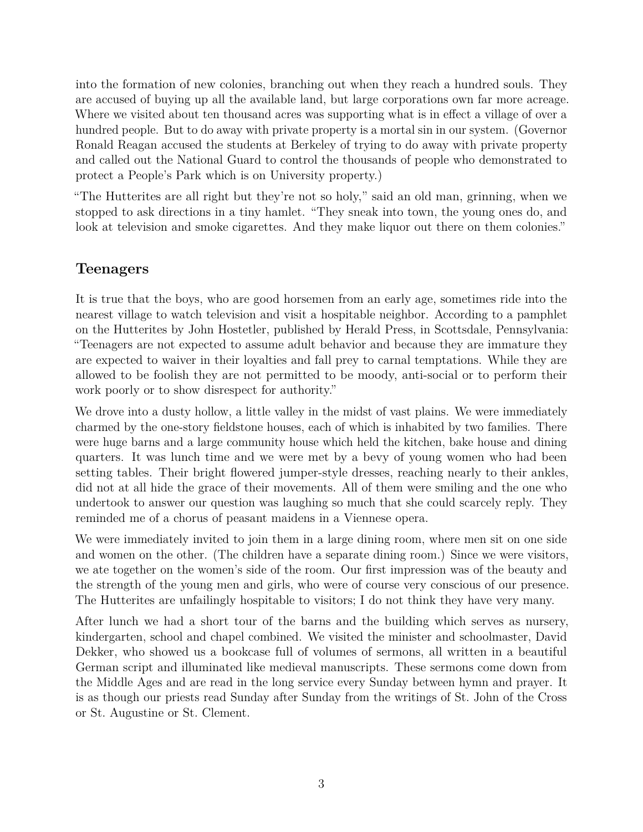into the formation of new colonies, branching out when they reach a hundred souls. They are accused of buying up all the available land, but large corporations own far more acreage. Where we visited about ten thousand acres was supporting what is in effect a village of over a hundred people. But to do away with private property is a mortal sin in our system. (Governor Ronald Reagan accused the students at Berkeley of trying to do away with private property and called out the National Guard to control the thousands of people who demonstrated to protect a People's Park which is on University property.)

"The Hutterites are all right but they're not so holy," said an old man, grinning, when we stopped to ask directions in a tiny hamlet. "They sneak into town, the young ones do, and look at television and smoke cigarettes. And they make liquor out there on them colonies."

#### **Teenagers**

It is true that the boys, who are good horsemen from an early age, sometimes ride into the nearest village to watch television and visit a hospitable neighbor. According to a pamphlet on the Hutterites by John Hostetler, published by Herald Press, in Scottsdale, Pennsylvania: "Teenagers are not expected to assume adult behavior and because they are immature they are expected to waiver in their loyalties and fall prey to carnal temptations. While they are allowed to be foolish they are not permitted to be moody, anti-social or to perform their work poorly or to show disrespect for authority."

We drove into a dusty hollow, a little valley in the midst of vast plains. We were immediately charmed by the one-story fieldstone houses, each of which is inhabited by two families. There were huge barns and a large community house which held the kitchen, bake house and dining quarters. It was lunch time and we were met by a bevy of young women who had been setting tables. Their bright flowered jumper-style dresses, reaching nearly to their ankles, did not at all hide the grace of their movements. All of them were smiling and the one who undertook to answer our question was laughing so much that she could scarcely reply. They reminded me of a chorus of peasant maidens in a Viennese opera.

We were immediately invited to join them in a large dining room, where men sit on one side and women on the other. (The children have a separate dining room.) Since we were visitors, we ate together on the women's side of the room. Our first impression was of the beauty and the strength of the young men and girls, who were of course very conscious of our presence. The Hutterites are unfailingly hospitable to visitors; I do not think they have very many.

After lunch we had a short tour of the barns and the building which serves as nursery, kindergarten, school and chapel combined. We visited the minister and schoolmaster, David Dekker, who showed us a bookcase full of volumes of sermons, all written in a beautiful German script and illuminated like medieval manuscripts. These sermons come down from the Middle Ages and are read in the long service every Sunday between hymn and prayer. It is as though our priests read Sunday after Sunday from the writings of St. John of the Cross or St. Augustine or St. Clement.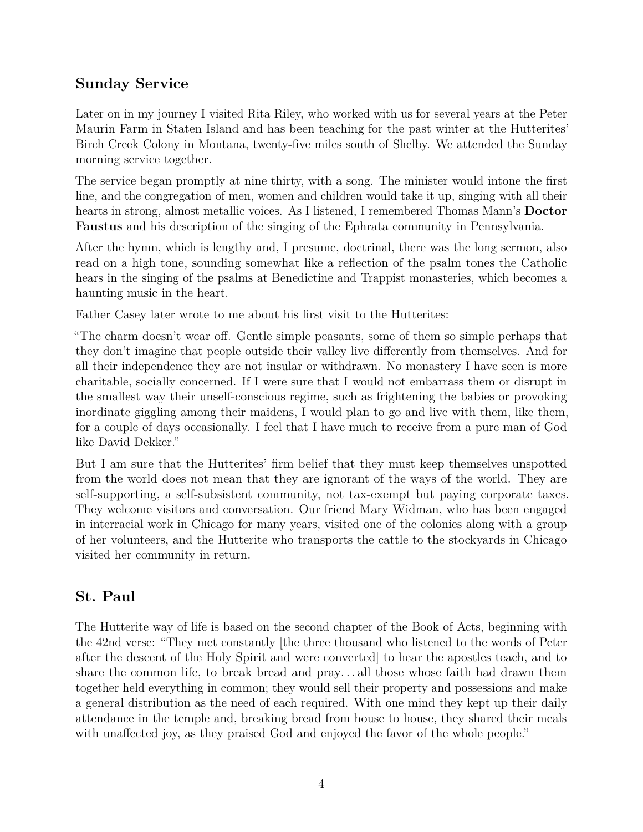### **Sunday Service**

Later on in my journey I visited Rita Riley, who worked with us for several years at the Peter Maurin Farm in Staten Island and has been teaching for the past winter at the Hutterites' Birch Creek Colony in Montana, twenty-five miles south of Shelby. We attended the Sunday morning service together.

The service began promptly at nine thirty, with a song. The minister would intone the first line, and the congregation of men, women and children would take it up, singing with all their hearts in strong, almost metallic voices. As I listened, I remembered Thomas Mann's **Doctor Faustus** and his description of the singing of the Ephrata community in Pennsylvania.

After the hymn, which is lengthy and, I presume, doctrinal, there was the long sermon, also read on a high tone, sounding somewhat like a reflection of the psalm tones the Catholic hears in the singing of the psalms at Benedictine and Trappist monasteries, which becomes a haunting music in the heart.

Father Casey later wrote to me about his first visit to the Hutterites:

"The charm doesn't wear off. Gentle simple peasants, some of them so simple perhaps that they don't imagine that people outside their valley live differently from themselves. And for all their independence they are not insular or withdrawn. No monastery I have seen is more charitable, socially concerned. If I were sure that I would not embarrass them or disrupt in the smallest way their unself-conscious regime, such as frightening the babies or provoking inordinate giggling among their maidens, I would plan to go and live with them, like them, for a couple of days occasionally. I feel that I have much to receive from a pure man of God like David Dekker."

But I am sure that the Hutterites' firm belief that they must keep themselves unspotted from the world does not mean that they are ignorant of the ways of the world. They are self-supporting, a self-subsistent community, not tax-exempt but paying corporate taxes. They welcome visitors and conversation. Our friend Mary Widman, who has been engaged in interracial work in Chicago for many years, visited one of the colonies along with a group of her volunteers, and the Hutterite who transports the cattle to the stockyards in Chicago visited her community in return.

### **St. Paul**

The Hutterite way of life is based on the second chapter of the Book of Acts, beginning with the 42nd verse: "They met constantly [the three thousand who listened to the words of Peter after the descent of the Holy Spirit and were converted] to hear the apostles teach, and to share the common life, to break bread and pray. . . all those whose faith had drawn them together held everything in common; they would sell their property and possessions and make a general distribution as the need of each required. With one mind they kept up their daily attendance in the temple and, breaking bread from house to house, they shared their meals with unaffected joy, as they praised God and enjoyed the favor of the whole people."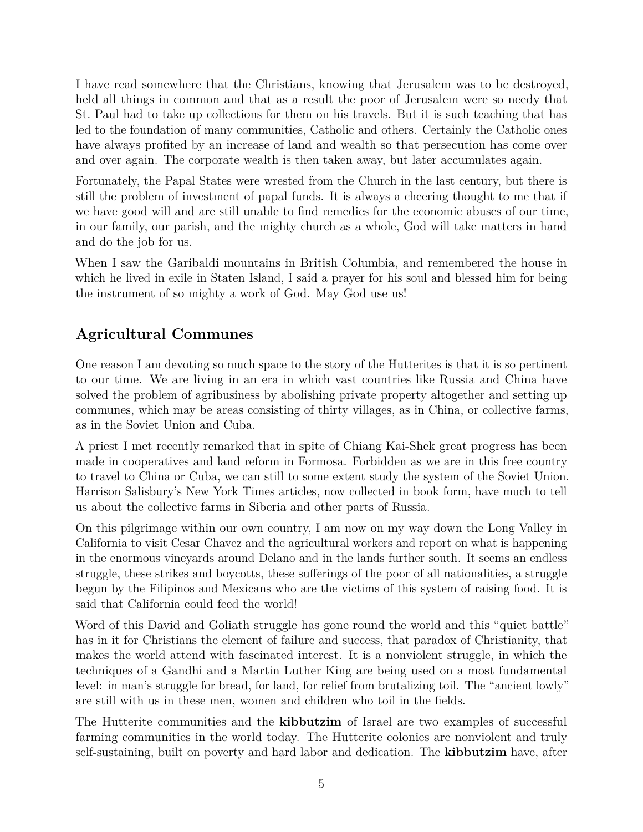I have read somewhere that the Christians, knowing that Jerusalem was to be destroyed, held all things in common and that as a result the poor of Jerusalem were so needy that St. Paul had to take up collections for them on his travels. But it is such teaching that has led to the foundation of many communities, Catholic and others. Certainly the Catholic ones have always profited by an increase of land and wealth so that persecution has come over and over again. The corporate wealth is then taken away, but later accumulates again.

Fortunately, the Papal States were wrested from the Church in the last century, but there is still the problem of investment of papal funds. It is always a cheering thought to me that if we have good will and are still unable to find remedies for the economic abuses of our time, in our family, our parish, and the mighty church as a whole, God will take matters in hand and do the job for us.

When I saw the Garibaldi mountains in British Columbia, and remembered the house in which he lived in exile in Staten Island, I said a prayer for his soul and blessed him for being the instrument of so mighty a work of God. May God use us!

# **Agricultural Communes**

One reason I am devoting so much space to the story of the Hutterites is that it is so pertinent to our time. We are living in an era in which vast countries like Russia and China have solved the problem of agribusiness by abolishing private property altogether and setting up communes, which may be areas consisting of thirty villages, as in China, or collective farms, as in the Soviet Union and Cuba.

A priest I met recently remarked that in spite of Chiang Kai-Shek great progress has been made in cooperatives and land reform in Formosa. Forbidden as we are in this free country to travel to China or Cuba, we can still to some extent study the system of the Soviet Union. Harrison Salisbury's New York Times articles, now collected in book form, have much to tell us about the collective farms in Siberia and other parts of Russia.

On this pilgrimage within our own country, I am now on my way down the Long Valley in California to visit Cesar Chavez and the agricultural workers and report on what is happening in the enormous vineyards around Delano and in the lands further south. It seems an endless struggle, these strikes and boycotts, these sufferings of the poor of all nationalities, a struggle begun by the Filipinos and Mexicans who are the victims of this system of raising food. It is said that California could feed the world!

Word of this David and Goliath struggle has gone round the world and this "quiet battle" has in it for Christians the element of failure and success, that paradox of Christianity, that makes the world attend with fascinated interest. It is a nonviolent struggle, in which the techniques of a Gandhi and a Martin Luther King are being used on a most fundamental level: in man's struggle for bread, for land, for relief from brutalizing toil. The "ancient lowly" are still with us in these men, women and children who toil in the fields.

The Hutterite communities and the **kibbutzim** of Israel are two examples of successful farming communities in the world today. The Hutterite colonies are nonviolent and truly self-sustaining, built on poverty and hard labor and dedication. The **kibbutzim** have, after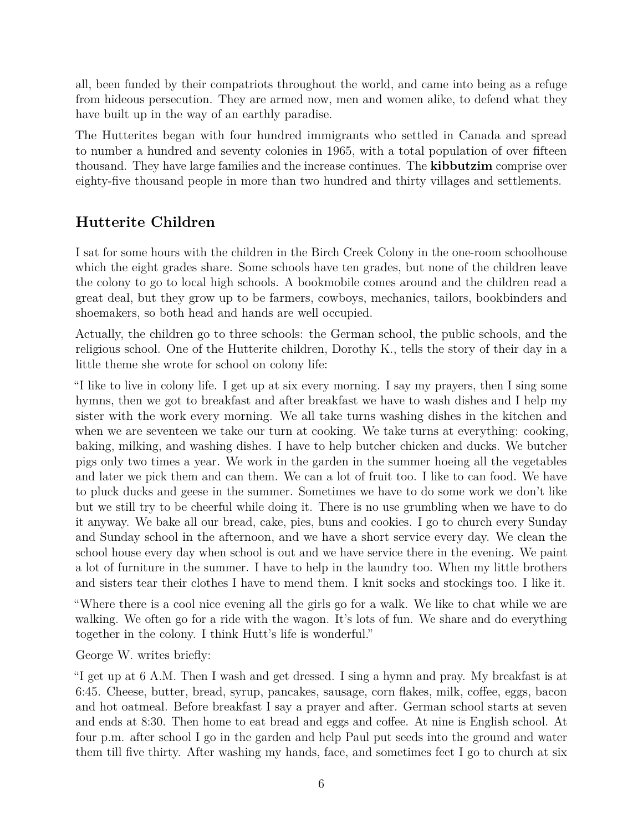all, been funded by their compatriots throughout the world, and came into being as a refuge from hideous persecution. They are armed now, men and women alike, to defend what they have built up in the way of an earthly paradise.

The Hutterites began with four hundred immigrants who settled in Canada and spread to number a hundred and seventy colonies in 1965, with a total population of over fifteen thousand. They have large families and the increase continues. The **kibbutzim** comprise over eighty-five thousand people in more than two hundred and thirty villages and settlements.

# **Hutterite Children**

I sat for some hours with the children in the Birch Creek Colony in the one-room schoolhouse which the eight grades share. Some schools have ten grades, but none of the children leave the colony to go to local high schools. A bookmobile comes around and the children read a great deal, but they grow up to be farmers, cowboys, mechanics, tailors, bookbinders and shoemakers, so both head and hands are well occupied.

Actually, the children go to three schools: the German school, the public schools, and the religious school. One of the Hutterite children, Dorothy K., tells the story of their day in a little theme she wrote for school on colony life:

"I like to live in colony life. I get up at six every morning. I say my prayers, then I sing some hymns, then we got to breakfast and after breakfast we have to wash dishes and I help my sister with the work every morning. We all take turns washing dishes in the kitchen and when we are seventeen we take our turn at cooking. We take turns at everything: cooking, baking, milking, and washing dishes. I have to help butcher chicken and ducks. We butcher pigs only two times a year. We work in the garden in the summer hoeing all the vegetables and later we pick them and can them. We can a lot of fruit too. I like to can food. We have to pluck ducks and geese in the summer. Sometimes we have to do some work we don't like but we still try to be cheerful while doing it. There is no use grumbling when we have to do it anyway. We bake all our bread, cake, pies, buns and cookies. I go to church every Sunday and Sunday school in the afternoon, and we have a short service every day. We clean the school house every day when school is out and we have service there in the evening. We paint a lot of furniture in the summer. I have to help in the laundry too. When my little brothers and sisters tear their clothes I have to mend them. I knit socks and stockings too. I like it.

"Where there is a cool nice evening all the girls go for a walk. We like to chat while we are walking. We often go for a ride with the wagon. It's lots of fun. We share and do everything together in the colony. I think Hutt's life is wonderful."

George W. writes briefly:

"I get up at 6 A.M. Then I wash and get dressed. I sing a hymn and pray. My breakfast is at 6:45. Cheese, butter, bread, syrup, pancakes, sausage, corn flakes, milk, coffee, eggs, bacon and hot oatmeal. Before breakfast I say a prayer and after. German school starts at seven and ends at 8:30. Then home to eat bread and eggs and coffee. At nine is English school. At four p.m. after school I go in the garden and help Paul put seeds into the ground and water them till five thirty. After washing my hands, face, and sometimes feet I go to church at six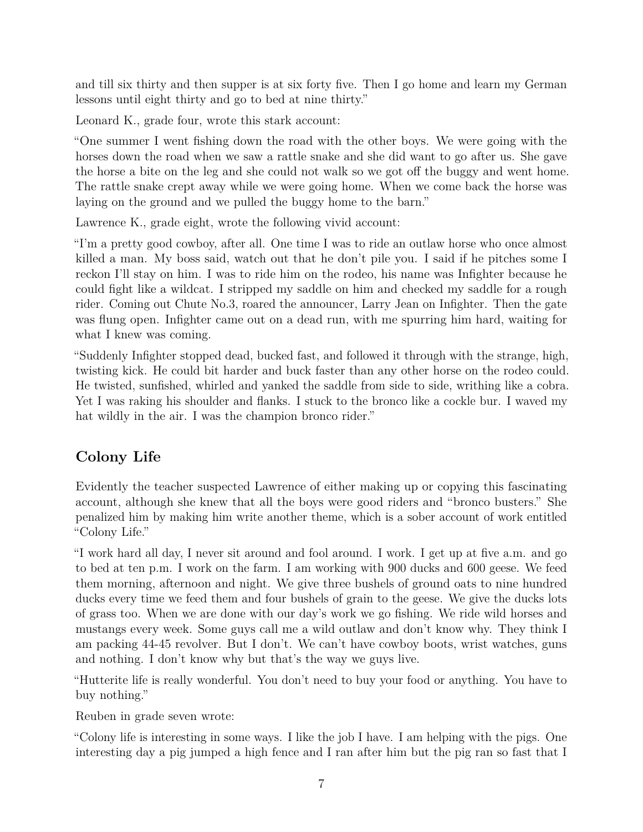and till six thirty and then supper is at six forty five. Then I go home and learn my German lessons until eight thirty and go to bed at nine thirty."

Leonard K., grade four, wrote this stark account:

"One summer I went fishing down the road with the other boys. We were going with the horses down the road when we saw a rattle snake and she did want to go after us. She gave the horse a bite on the leg and she could not walk so we got off the buggy and went home. The rattle snake crept away while we were going home. When we come back the horse was laying on the ground and we pulled the buggy home to the barn."

Lawrence K., grade eight, wrote the following vivid account:

"I'm a pretty good cowboy, after all. One time I was to ride an outlaw horse who once almost killed a man. My boss said, watch out that he don't pile you. I said if he pitches some I reckon I'll stay on him. I was to ride him on the rodeo, his name was Infighter because he could fight like a wildcat. I stripped my saddle on him and checked my saddle for a rough rider. Coming out Chute No.3, roared the announcer, Larry Jean on Infighter. Then the gate was flung open. Infighter came out on a dead run, with me spurring him hard, waiting for what I knew was coming.

"Suddenly Infighter stopped dead, bucked fast, and followed it through with the strange, high, twisting kick. He could bit harder and buck faster than any other horse on the rodeo could. He twisted, sunfished, whirled and yanked the saddle from side to side, writhing like a cobra. Yet I was raking his shoulder and flanks. I stuck to the bronco like a cockle bur. I waved my hat wildly in the air. I was the champion bronco rider."

# **Colony Life**

Evidently the teacher suspected Lawrence of either making up or copying this fascinating account, although she knew that all the boys were good riders and "bronco busters." She penalized him by making him write another theme, which is a sober account of work entitled "Colony Life."

"I work hard all day, I never sit around and fool around. I work. I get up at five a.m. and go to bed at ten p.m. I work on the farm. I am working with 900 ducks and 600 geese. We feed them morning, afternoon and night. We give three bushels of ground oats to nine hundred ducks every time we feed them and four bushels of grain to the geese. We give the ducks lots of grass too. When we are done with our day's work we go fishing. We ride wild horses and mustangs every week. Some guys call me a wild outlaw and don't know why. They think I am packing 44-45 revolver. But I don't. We can't have cowboy boots, wrist watches, guns and nothing. I don't know why but that's the way we guys live.

"Hutterite life is really wonderful. You don't need to buy your food or anything. You have to buy nothing."

Reuben in grade seven wrote:

"Colony life is interesting in some ways. I like the job I have. I am helping with the pigs. One interesting day a pig jumped a high fence and I ran after him but the pig ran so fast that I